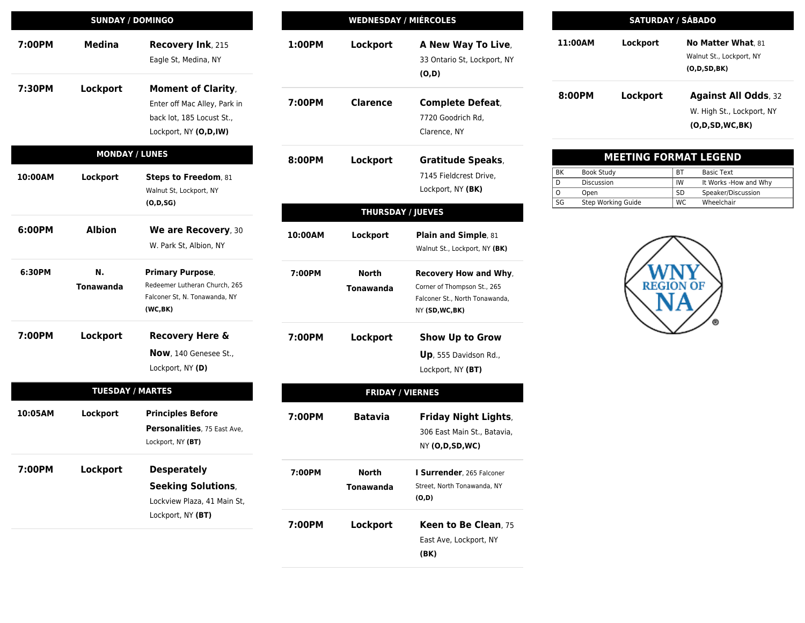| <b>SUNDAY / DOMINGO</b> |                         |                                                                            | <b>WEDNESDAY / MIÉRCOLES</b> |                          |                                                                                  |
|-------------------------|-------------------------|----------------------------------------------------------------------------|------------------------------|--------------------------|----------------------------------------------------------------------------------|
| 7:00PM                  | <b>Medina</b>           | Recovery Ink, 215<br>Eagle St, Medina, NY                                  | 1:00PM                       | Lockport                 | A New Way To Live,<br>33 Ontario St, Lockport, NY<br>(O,D)                       |
| 7:30PM                  | Lockport                | <b>Moment of Clarity,</b><br>Enter off Mac Alley, Park in                  | 7:00PM                       | <b>Clarence</b>          | <b>Complete Defeat,</b>                                                          |
|                         |                         | back lot, 185 Locust St.,                                                  |                              |                          | 7720 Goodrich Rd,                                                                |
|                         |                         | Lockport, NY (O,D,IW)                                                      |                              |                          | Clarence, NY                                                                     |
|                         | <b>MONDAY / LUNES</b>   |                                                                            | 8:00PM                       | Lockport                 | <b>Gratitude Speaks,</b>                                                         |
| 10:00AM                 | Lockport                | Steps to Freedom, 81                                                       |                              |                          | 7145 Fieldcrest Drive,                                                           |
|                         |                         | Walnut St, Lockport, NY                                                    |                              |                          | Lockport, NY (BK)                                                                |
|                         |                         | (O, D, SG)                                                                 |                              | <b>THURSDAY / JUEVES</b> |                                                                                  |
| 6:00PM                  | <b>Albion</b>           | We are Recovery, 30                                                        | 10:00AM                      | Lockport                 | Plain and Simple, 81                                                             |
|                         |                         | W. Park St, Albion, NY                                                     |                              |                          | Walnut St., Lockport, NY (BK)                                                    |
| 6:30PM                  | N.                      | <b>Primary Purpose,</b>                                                    | 7:00PM                       | <b>North</b>             | Recovery How and Why,                                                            |
|                         | Tonawanda               | Redeemer Lutheran Church, 265<br>Falconer St, N. Tonawanda, NY<br>(WC, BK) |                              | <b>Tonawanda</b>         | Corner of Thompson St., 265<br>Falconer St., North Tonawanda,<br>NY (SD, WC, BK) |
| 7:00PM                  | Lockport                | <b>Recovery Here &amp;</b>                                                 | 7:00PM                       | Lockport                 | <b>Show Up to Grow</b>                                                           |
|                         |                         | <b>Now</b> , 140 Genesee St.,                                              |                              |                          | Up, 555 Davidson Rd.,                                                            |
|                         |                         | Lockport, NY (D)                                                           |                              |                          | Lockport, NY (BT)                                                                |
|                         | <b>TUESDAY / MARTES</b> |                                                                            |                              | <b>FRIDAY / VIERNES</b>  |                                                                                  |
| 10:05AM                 | Lockport                | <b>Principles Before</b>                                                   | 7:00PM                       | <b>Batavia</b>           | <b>Friday Night Lights,</b>                                                      |
|                         |                         | Personalities, 75 East Ave,                                                |                              |                          | 306 East Main St., Batavia,                                                      |
|                         |                         | Lockport, NY (BT)                                                          |                              |                          | NY (O,D,SD,WC)                                                                   |
| 7:00PM                  | Lockport                | <b>Desperately</b>                                                         | 7:00PM                       | <b>North</b>             | I Surrender, 265 Falconer                                                        |
|                         |                         | <b>Seeking Solutions,</b>                                                  |                              | <b>Tonawanda</b>         | Street, North Tonawanda, NY                                                      |
|                         |                         | Lockview Plaza, 41 Main St,                                                |                              |                          | (O,D)                                                                            |
|                         |                         | Lockport, NY (BT)                                                          | 7:00PM                       | Lockport                 | Keen to Be Clean, 75                                                             |
|                         |                         |                                                                            |                              |                          | East Ave, Lockport, NY                                                           |
|                         |                         |                                                                            |                              |                          | (BK)                                                                             |

| <b>SATURDAY / SÁBADO</b> |          |                             |  |  |  |  |
|--------------------------|----------|-----------------------------|--|--|--|--|
| 11:00AM                  | Lockport | <b>No Matter What. 81</b>   |  |  |  |  |
|                          |          | Walnut St., Lockport, NY    |  |  |  |  |
|                          |          | (O,D,SD,BK)                 |  |  |  |  |
| 8:00PM                   | Lockport | <b>Against All Odds, 32</b> |  |  |  |  |
|                          |          | W. High St., Lockport, NY   |  |  |  |  |
|                          |          | (0.D.SD.WC.BK)              |  |  |  |  |

| <b>MEETING FORMAT LEGEND</b> |                    |           |                       |  |  |  |  |
|------------------------------|--------------------|-----------|-----------------------|--|--|--|--|
| ВK                           | Book Study         | <b>BT</b> | Basic Text            |  |  |  |  |
| D                            | <b>Discussion</b>  | IW        | It Works -How and Why |  |  |  |  |
| O                            | Open               | <b>SD</b> | Speaker/Discussion    |  |  |  |  |
| SG                           | Step Working Guide | <b>WC</b> | Wheelchair            |  |  |  |  |